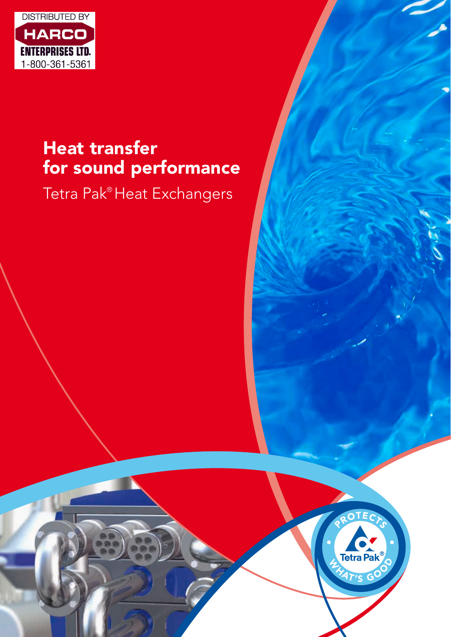

## Heat transfer for sound performance

Tetra Pak® Heat Exchangers

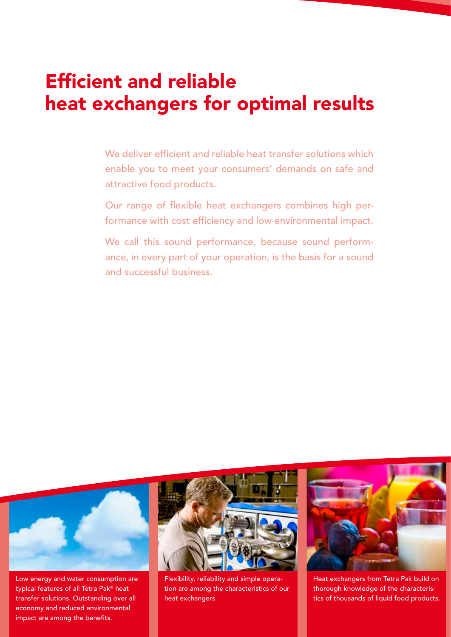## Efficient and reliable heat exchangers for optimal results

We deliver efficient and reliable heat transfer solutions which enable you to meet your consumers' demands on safe and attractive food products.

Our range of flexible heat exchangers combines high performance with cost efficiency and low environmental impact.

We call this sound performance, because sound performance, in every part of your operation, is the basis for a sound and successful business.



Low energy and water consumption are typical features of all Tetra Pak® heat transfer solutions. Outstanding over all economy and reduced environmental impact are among the benefits.



Flexibility, reliability and simple operation are among the characteristics of our heat exchangers.



Heat exchangers from Tetra Pak build on thorough knowledge of the characteristics of thousands of liquid food products.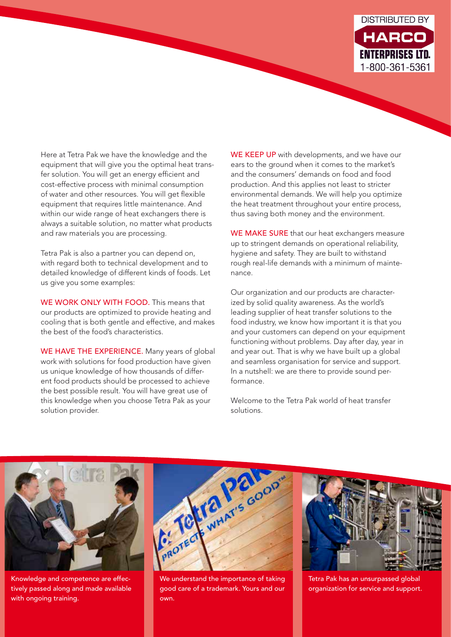

Here at Tetra Pak we have the knowledge and the equipment that will give you the optimal heat transfer solution. You will get an energy efficient and cost-effective process with minimal consumption of water and other resources. You will get flexible equipment that requires little maintenance. And within our wide range of heat exchangers there is always a suitable solution, no matter what products and raw materials you are processing.

Tetra Pak is also a partner you can depend on, with regard both to technical development and to detailed knowledge of different kinds of foods. Let us give you some examples:

WE WORK ONLY WITH FOOD. This means that our products are optimized to provide heating and cooling that is both gentle and effective, and makes the best of the food's characteristics.

WE HAVE THE EXPERIENCE. Many years of global work with solutions for food production have given us unique knowledge of how thousands of different food products should be processed to achieve the best possible result. You will have great use of this knowledge when you choose Tetra Pak as your solution provider.

WE KEEP UP with developments, and we have our ears to the ground when it comes to the market's and the consumers' demands on food and food production. And this applies not least to stricter environmental demands. We will help you optimize the heat treatment throughout your entire process, thus saving both money and the environment.

WE MAKE SURE that our heat exchangers measure up to stringent demands on operational reliability, hygiene and safety. They are built to withstand rough real-life demands with a minimum of maintenance.

Our organization and our products are characterized by solid quality awareness. As the world's leading supplier of heat transfer solutions to the food industry, we know how important it is that you and your customers can depend on your equipment functioning without problems. Day after day, year in and year out. That is why we have built up a global and seamless organisation for service and support. In a nutshell: we are there to provide sound performance.

Welcome to the Tetra Pak world of heat transfer solutions.



Knowledge and competence are effectively passed along and made available with ongoing training.



We understand the importance of taking good care of a trademark. Yours and our own.



Tetra Pak has an unsurpassed global organization for service and support.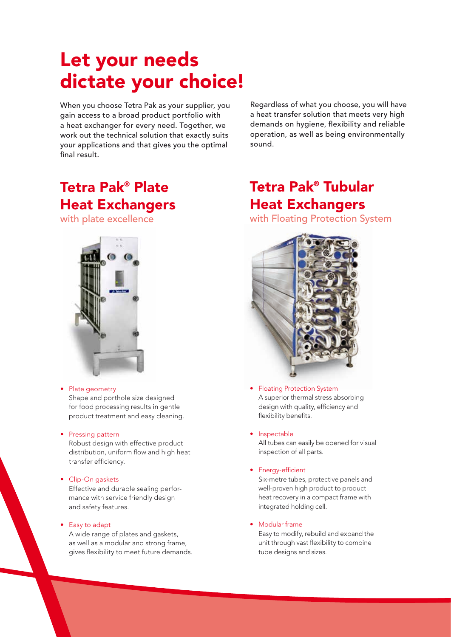# Let your needs dictate your choice!

When you choose Tetra Pak as your supplier, you gain access to a broad product portfolio with a heat exchanger for every need. Together, we work out the technical solution that exactly suits your applications and that gives you the optimal final result.

Tetra Pak® Plate Heat Exchangers

with plate excellence



Plate geometry

Shape and porthole size designed for food processing results in gentle product treatment and easy cleaning.

### **Pressing pattern**

Robust design with effective product distribution, uniform flow and high heat transfer efficiency.

#### • Clip-On gaskets

Effective and durable sealing performance with service friendly design and safety features.

### • Easy to adapt

A wide range of plates and gaskets, as well as a modular and strong frame, gives flexibility to meet future demands.

Regardless of what you choose, you will have a heat transfer solution that meets very high demands on hygiene, flexibility and reliable operation, as well as being environmentally sound.

## Tetra Pak® Tubular Heat Exchangers

with Floating Protection System



**Floating Protection System** A superior thermal stress absorbing design with quality, efficiency and flexibility benefits.

### • Inspectable

All tubes can easily be opened for visual inspection of all parts.

### • Energy-efficient

Six-metre tubes, protective panels and well-proven high product to product heat recovery in a compact frame with integrated holding cell.

#### • Modular frame

Easy to modify, rebuild and expand the unit through vast flexibility to combine tube designs and sizes.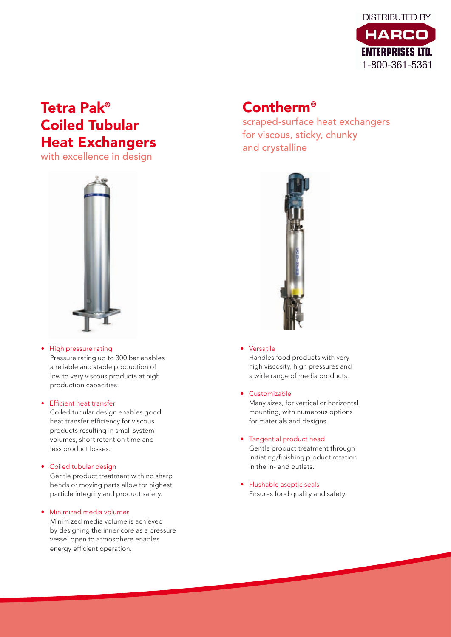

## Tetra Pak® Coiled Tubular Heat Exchangers

with excellence in design



### • High pressure rating

Pressure rating up to 300 bar enables a reliable and stable production of low to very viscous products at high production capacities.

### • Efficient heat transfer

Coiled tubular design enables good heat transfer efficiency for viscous products resulting in small system volumes, short retention time and less product losses.

### • Coiled tubular design

Gentle product treatment with no sharp bends or moving parts allow for highest particle integrity and product safety.

### • Minimized media volumes

Minimized media volume is achieved by designing the inner core as a pressure vessel open to atmosphere enables energy efficient operation.

### Contherm®

scraped-surface heat exchangers for viscous, sticky, chunky and crystalline



### • Versatile

Handles food products with very high viscosity, high pressures and a wide range of media products.

### • Customizable

Many sizes, for vertical or horizontal mounting, with numerous options for materials and designs.

- Tangential product head Gentle product treatment through initiating/finishing product rotation in the in- and outlets.
- Flushable aseptic seals Ensures food quality and safety.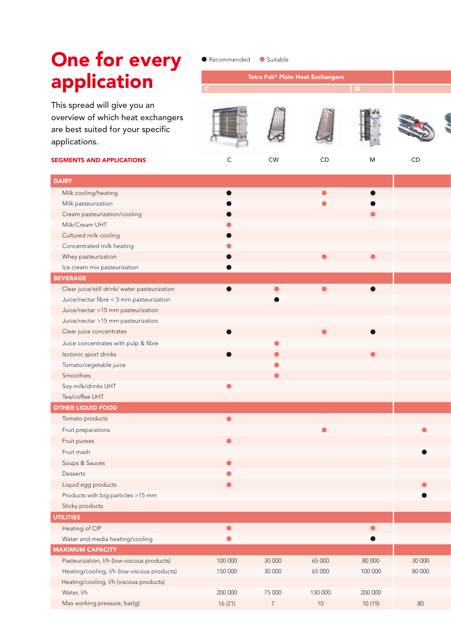# One for every app

l Recommended l Suitable

| <b>OIIE IOI EVELY</b>                                                                                                   | $\bullet$ induction $\bullet$ | $\sim$ <i>Juliupic</i> |                                  |              |        |
|-------------------------------------------------------------------------------------------------------------------------|-------------------------------|------------------------|----------------------------------|--------------|--------|
| application                                                                                                             |                               |                        | Tetra Pak® Plate Heat Exchangers | $\mathsf{M}$ |        |
| This spread will give you an<br>overview of which heat exchangers<br>are best suited for your specific<br>applications. |                               |                        |                                  |              |        |
| <b>SEGMENTS AND APPLICATIONS</b>                                                                                        | C                             | ${\sf CW}$             | CD                               | M            | CD     |
| <b>DAIRY</b>                                                                                                            |                               |                        |                                  |              |        |
| Milk cooling/heating                                                                                                    |                               |                        | $\bullet$                        |              |        |
| Milk pasteurization                                                                                                     |                               |                        |                                  |              |        |
| Cream pasteurization/cooling                                                                                            |                               |                        |                                  |              |        |
| Milk/Cream UHT                                                                                                          |                               |                        |                                  |              |        |
| Cultured milk cooling                                                                                                   |                               |                        |                                  |              |        |
| Concentrated milk heating                                                                                               |                               |                        |                                  |              |        |
| Whey pasteurization                                                                                                     |                               |                        |                                  |              |        |
| Ice cream mix pasteurization                                                                                            |                               |                        |                                  |              |        |
| <b>BEVERAGE</b>                                                                                                         |                               |                        |                                  |              |        |
| Clear juice/still drink/ water pasteurization                                                                           | $\bullet$                     |                        |                                  |              |        |
| Juice/nectar fibre < 5 mm pasteurization                                                                                |                               |                        |                                  |              |        |
| Juice/nectar <15 mm pasteurization                                                                                      |                               |                        |                                  |              |        |
| Juice/nectar >15 mm pasteurization                                                                                      |                               |                        |                                  |              |        |
| Clear juice concentrates                                                                                                | $\bullet$                     |                        |                                  |              |        |
| Juice concentrates with pulp & fibre                                                                                    |                               |                        |                                  |              |        |
| Isotonic sport drinks                                                                                                   | $\bullet$                     |                        |                                  |              |        |
| Tomato/vegetable juice                                                                                                  |                               |                        |                                  |              |        |
| Smoothies                                                                                                               |                               |                        |                                  |              |        |
| Soy milk/drinks UHT                                                                                                     | $\bullet$                     |                        |                                  |              |        |
| Tea/coffee UHT                                                                                                          |                               |                        |                                  |              |        |
| <b>OTHER LIQUID FOOD</b>                                                                                                |                               |                        |                                  |              |        |
| Tomato products                                                                                                         | $\bullet$                     |                        |                                  |              |        |
| Fruit preparations                                                                                                      |                               |                        |                                  |              | -      |
| Fruit purees                                                                                                            | $\bullet$                     |                        |                                  |              |        |
| Fruit mash                                                                                                              |                               |                        |                                  |              |        |
| Soups & Sauces                                                                                                          |                               |                        |                                  |              |        |
| Desserts                                                                                                                | $\bullet$                     |                        |                                  |              |        |
| Liquid egg products                                                                                                     | $\bullet$                     |                        |                                  |              |        |
| Products with big particles >15 mm                                                                                      |                               |                        |                                  |              |        |
| Sticky products                                                                                                         |                               |                        |                                  |              |        |
| <b>UTILITIES</b>                                                                                                        |                               |                        |                                  |              |        |
| Heating of CIP                                                                                                          | $\bullet$                     |                        |                                  | $\bullet$    |        |
| Water and media heating/cooling                                                                                         | $\bullet$                     |                        |                                  |              |        |
| <b>MAXIMUM CAPACITY</b>                                                                                                 |                               |                        |                                  |              |        |
| Pasteurization, I/h (low-viscous products)                                                                              | 100 000                       | 30 000                 | 65 000                           | 80 000       | 30 000 |
| Heating/cooling, I/h (low-viscous products)                                                                             | 150 000                       | 30 000                 | 65 000                           | 100 000      | 80 000 |
| Heating/cooling, I/h (viscous products)                                                                                 |                               |                        |                                  |              |        |
| Water, I/h                                                                                                              | 200 000                       | 75 000                 | 130 000                          | 200 000      |        |
| Max working pressure, bar(g)                                                                                            | 16(21)                        | $7\overline{ }$        | 10 <sup>°</sup>                  | 10(19)       | 80     |

10 11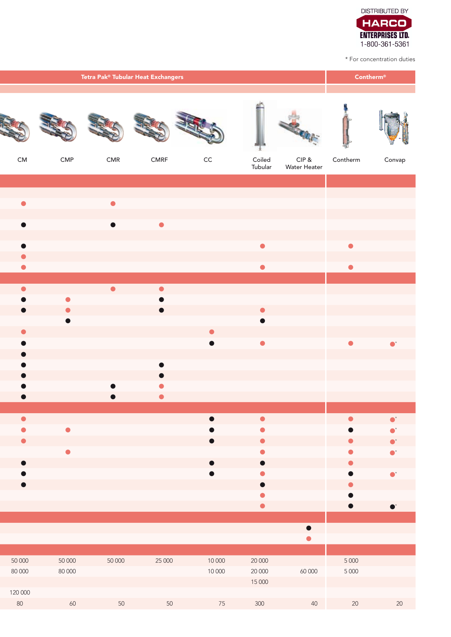

\* For concentration duties

|                                     |  | <b>Contherm®</b>       |                        |                                     |                        |                        |                       |           |             |
|-------------------------------------|--|------------------------|------------------------|-------------------------------------|------------------------|------------------------|-----------------------|-----------|-------------|
|                                     |  |                        |                        | <b>STATE 6</b>                      | SIG                    | Ņ.                     | <b>Change</b>         | Ļ         |             |
| ${\sf CM}$                          |  | CMP                    | CMR                    | ${\sf CMRF}$                        | $\mathsf{CC}$          | Coiled<br>Tubular      | CIP &<br>Water Heater | Contherm  | Convap      |
| $\bullet$                           |  |                        | $\bullet$              |                                     |                        |                        |                       |           |             |
| $\bullet$                           |  |                        | $\bullet$              | $\bullet$                           |                        |                        |                       |           |             |
| $\bullet$                           |  |                        |                        |                                     |                        | $\bullet$              |                       | $\bullet$ |             |
| $\bullet$<br>$\bullet$              |  |                        |                        |                                     |                        | $\bullet$              |                       | $\bullet$ |             |
| $\bullet$<br>$\bullet$              |  | $\bullet$              | $\bullet$              | $\bullet$<br>$\bullet$              |                        |                        |                       |           |             |
| $\bullet$                           |  | $\bullet$<br>$\bullet$ |                        | $\bullet$                           |                        | $\bullet$<br>$\bullet$ |                       |           |             |
| $\bullet$<br>$\bullet$              |  |                        |                        |                                     | $\bullet$<br>$\bullet$ | $\bullet$              |                       | $\bullet$ | $\bullet^*$ |
| $\bullet$<br>$\bullet$              |  |                        |                        | $\bullet$                           |                        |                        |                       |           |             |
| $\bullet$<br>$\bullet$<br>$\bullet$ |  |                        | $\bullet$<br>$\bullet$ | $\bullet$<br>$\bullet$<br>$\bullet$ |                        |                        |                       |           |             |
| $\bullet$                           |  |                        |                        |                                     | $\bullet$              | $\bullet$              |                       | $\bullet$ | $\bullet^*$ |
| $\bullet$<br>$\bullet$              |  | $\bullet$              |                        |                                     |                        | Ο<br>$\bullet$         |                       |           | $\bullet$   |
| $\bullet$                           |  | $\bullet$              |                        |                                     |                        | $\bullet$              |                       |           | $\bullet^*$ |
| $\bullet$                           |  |                        |                        |                                     |                        | $\bullet$<br>$\bullet$ |                       |           | $\bullet^*$ |
|                                     |  |                        |                        |                                     |                        | $\bullet$              |                       |           | $\bullet^*$ |
|                                     |  |                        |                        |                                     |                        |                        | $\bullet$             |           |             |
| 50 000                              |  | 50 000                 | 50 000                 | 25 000                              | 10 000                 | 20 000                 |                       | 5 0 0 0   |             |
| 80 000                              |  | 80 000                 |                        |                                     | 10 000                 | 20 000<br>15 000       | 60 000                | 5 0 0 0   |             |
| 120 000<br>80                       |  | 60                     | 50                     | 50                                  | 75                     | 300                    | 40                    | 20        | 20          |